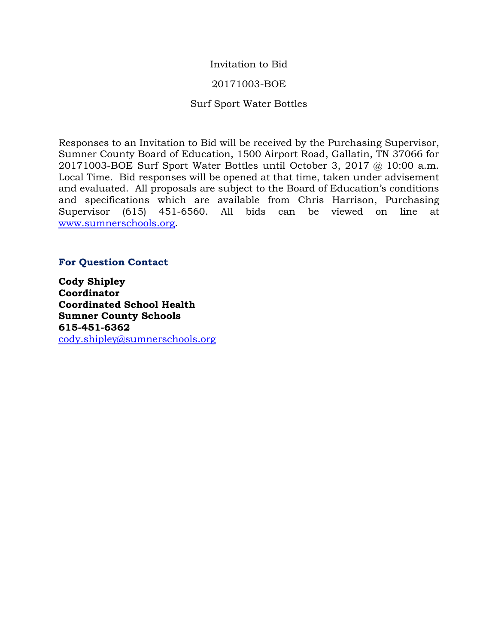## Invitation to Bid

## 20171003-BOE

## Surf Sport Water Bottles

Responses to an Invitation to Bid will be received by the Purchasing Supervisor, Sumner County Board of Education, 1500 Airport Road, Gallatin, TN 37066 for 20171003-BOE Surf Sport Water Bottles until October 3, 2017 @ 10:00 a.m. Local Time. Bid responses will be opened at that time, taken under advisement and evaluated. All proposals are subject to the Board of Education's conditions and specifications which are available from Chris Harrison, Purchasing Supervisor (615) 451-6560. All bids can be viewed on line at [www.sumnerschools.org.](http://www.sumnerschools.org/)

## **For Question Contact**

**Cody Shipley Coordinator Coordinated School Health Sumner County Schools 615-451-6362** [cody.shipley@sumnerschools.org](mailto:cody.shipley@sumnerschools.org)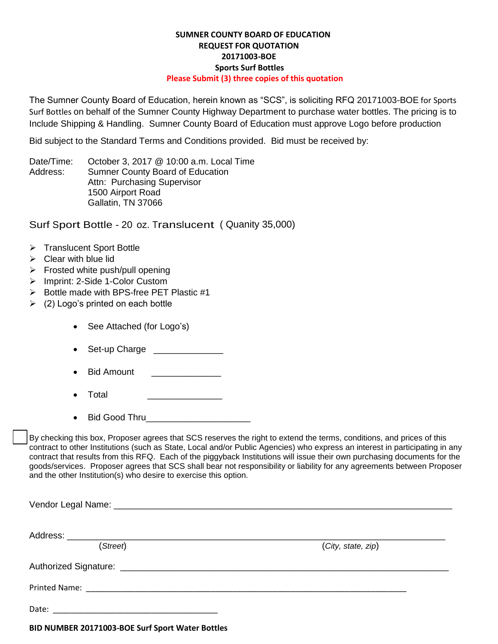## **SUMNER COUNTY BOARD OF EDUCATION REQUEST FOR QUOTATION 20171003-BOE Sports Surf Bottles Please Submit (3) three copies of this quotation**

The Sumner County Board of Education, herein known as "SCS", is soliciting RFQ 20171003-BOE for Sports Surf Bottles on behalf of the Sumner County Highway Department to purchase water bottles. The pricing is to Include Shipping & Handling. Sumner County Board of Education must approve Logo before production

Bid subject to the Standard Terms and Conditions provided. Bid must be received by:

Date/Time: October 3, 2017 @ 10:00 a.m. Local Time Address: Sumner County Board of Education Attn: Purchasing Supervisor 1500 Airport Road Gallatin, TN 37066

Surf Sport Bottle - 20 oz. Translucent ( Quanity 35,000)

- > Translucent Sport Bottle
- $\triangleright$  Clear with blue lid
- $\triangleright$  Frosted white push/pull opening
- > Imprint: 2-Side 1-Color Custom
- $\triangleright$  Bottle made with BPS-free PET Plastic #1
- $\geq$  (2) Logo's printed on each bottle
	- See Attached (for Logo's)
	- Set-up Charge \_\_\_\_\_\_\_\_\_\_\_\_\_\_\_
	- Bid Amount **Example 3**
	- Total \_\_\_\_\_\_\_\_\_\_\_\_\_\_\_
	- Bid Good Thru

By checking this box, Proposer agrees that SCS reserves the right to extend the terms, conditions, and prices of this contract to other Institutions (such as State, Local and/or Public Agencies) who express an interest in participating in any contract that results from this RFQ. Each of the piggyback Institutions will issue their own purchasing documents for the goods/services. Proposer agrees that SCS shall bear not responsibility or liability for any agreements between Proposer and the other Institution(s) who desire to exercise this option.

| (Street) | (City, state, zip) |
|----------|--------------------|
|          |                    |
|          |                    |
| Date:    |                    |

**BID NUMBER 20171003-BOE Surf Sport Water Bottles**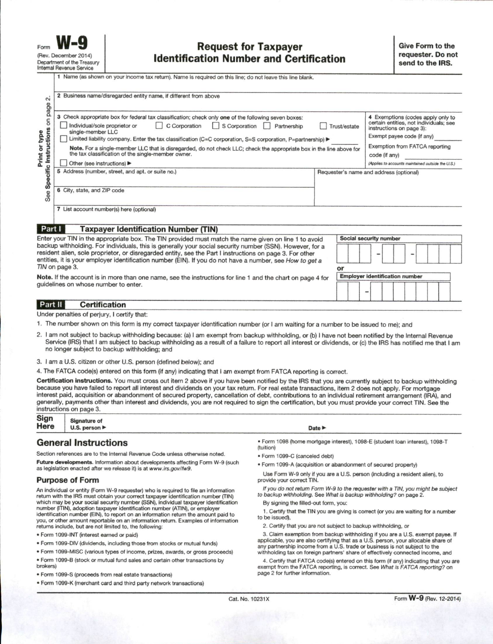|                                                                                                                                                                                                                                                                                                                                                                                                             | 1 Name (as shown on your income tax return). Name is required on this line; do not leave this line blank.                                                                                                                                                                                                                        |    |                                                                                                         |
|-------------------------------------------------------------------------------------------------------------------------------------------------------------------------------------------------------------------------------------------------------------------------------------------------------------------------------------------------------------------------------------------------------------|----------------------------------------------------------------------------------------------------------------------------------------------------------------------------------------------------------------------------------------------------------------------------------------------------------------------------------|----|---------------------------------------------------------------------------------------------------------|
| $\sim$<br>page                                                                                                                                                                                                                                                                                                                                                                                              | 2 Business name/disregarded entity name, if different from above                                                                                                                                                                                                                                                                 |    |                                                                                                         |
| 5                                                                                                                                                                                                                                                                                                                                                                                                           | 3 Check appropriate box for federal tax classification; check only one of the following seven boxes:<br>Individual/sole proprietor or<br>C Corporation<br>S Corporation<br>Partnership<br>Trust/estate<br>single-member LLC                                                                                                      |    | 4 Exemptions (codes apply only to<br>certain entities, not individuals; see<br>instructions on page 3): |
| Instructions<br>Print or type<br>Exempt payee code (if any)<br>Limited liability company. Enter the tax classification (C=C corporation, S=S corporation, P=partnership) ▶<br>Exemption from FATCA reporting<br>Note. For a single-member LLC that is disregarded, do not check LLC; check the appropriate box in the line above for<br>the tax classification of the single-member owner.<br>code (if any) |                                                                                                                                                                                                                                                                                                                                  |    |                                                                                                         |
|                                                                                                                                                                                                                                                                                                                                                                                                             |                                                                                                                                                                                                                                                                                                                                  |    |                                                                                                         |
| Specific                                                                                                                                                                                                                                                                                                                                                                                                    | 5 Address (number, street, and apt. or suite no.)                                                                                                                                                                                                                                                                                |    | Requester's name and address (optional)                                                                 |
| See                                                                                                                                                                                                                                                                                                                                                                                                         | 6 City, state, and ZIP code                                                                                                                                                                                                                                                                                                      |    |                                                                                                         |
|                                                                                                                                                                                                                                                                                                                                                                                                             | 7 List account number(s) here (optional)                                                                                                                                                                                                                                                                                         |    |                                                                                                         |
| Part I                                                                                                                                                                                                                                                                                                                                                                                                      | <b>Taxpayer Identification Number (TIN)</b>                                                                                                                                                                                                                                                                                      |    |                                                                                                         |
|                                                                                                                                                                                                                                                                                                                                                                                                             | Enter your TIN in the appropriate box. The TIN provided must match the name given on line 1 to avoid                                                                                                                                                                                                                             |    | Social security number                                                                                  |
|                                                                                                                                                                                                                                                                                                                                                                                                             | backup withholding. For individuals, this is generally your social security number (SSN). However, for a<br>resident alien, sole proprietor, or disregarded entity, see the Part I instructions on page 3. For other<br>entities, it is your employer identification number (EIN). If you do not have a number, see How to get a |    |                                                                                                         |
|                                                                                                                                                                                                                                                                                                                                                                                                             | TIN on page 3.                                                                                                                                                                                                                                                                                                                   | or |                                                                                                         |
|                                                                                                                                                                                                                                                                                                                                                                                                             | Note, If the account is in more than one name, see the instructions for line 1 and the chart on page 4 for                                                                                                                                                                                                                       |    | <b>Employer identification number</b>                                                                   |

**Certification** Part II

Under penalties of perjury, I certify that:

quidelines on whose number to enter.

- 1. The number shown on this form is my correct taxpayer identification number (or I am waiting for a number to be issued to me); and
- 2. I am not subject to backup withholding because: (a) I am exempt from backup withholding, or (b) I have not been notified by the Internal Revenue Service (IRS) that I am subject to backup withholding as a result of a failure to report all interest or dividends, or (c) the IRS has notified me that I am no longer subject to backup withholding; and

3. I am a U.S. citizen or other U.S. person (defined below); and

4. The FATCA code(s) entered on this form (if any) indicating that I am exempt from FATCA reporting is correct.

Certification instructions. You must cross out item 2 above if you have been notified by the IRS that you are currently subject to backup withholding because you have failed to report all interest and dividends on your tax return. For real estate transactions, item 2 does not apply. For mortgage interest paid, acquisition or abandonment of secured property, cancellation of debt, contributions to an individual retirement arrangement (IRA), and generally, payments other than interest and dividends, you are not required to sign the certification, but you must provide your correct TIN. See the instructions on page 3.

| Sign<br>Here | <b>Signature of</b>               |  |
|--------------|-----------------------------------|--|
|              | U.S. person $\blacktriangleright$ |  |

### **General Instructions**

Section references are to the Internal Revenue Code unless otherwise noted. Future developments. Information about developments affecting Form W-9 (such as legislation enacted after we release it) is at www.irs.gov/fw9.

#### **Purpose of Form**

An individual or entity (Form W-9 requester) who is required to file an information return with the IRS must obtain your correct taxpayer identification number (TIN) which may be your social security number (SSN), individual taxpayer identification number (ITIN), adoption taxpayer identification number (ATIN), or employer identification number (EIN), to report on an information return the amount paid to you, or other amount reportable on an information return. Examples of information returns include, but are not limited to, the following:

- · Form 1099-INT (interest earned or paid)
- . Form 1099-DIV (dividends, including those from stocks or mutual funds)
- · Form 1099-MISC (various types of income, prizes, awards, or gross proceeds)
- . Form 1099-B (stock or mutual fund sales and certain other transactions by brokers)
- · Form 1099-S (proceeds from real estate transactions)
- · Form 1099-K (merchant card and third party network transactions)

Date **P** 

- · Form 1098 (home mortgage interest), 1098-E (student loan interest), 1098-T (tuition)
- · Form 1099-C (canceled debt)
- . Form 1099-A (acquisition or abandonment of secured property)

Use Form W-9 only if you are a U.S. person (including a resident alien), to provide your correct TIN.

If you do not return Form W-9 to the requester with a TIN, you might be subject to backup withholding. See What is backup withholding? on page 2.

By signing the filled-out form, you:

1. Certify that the TIN you are giving is correct (or you are waiting for a number to be issued),

2. Certify that you are not subject to backup withholding, or

3. Claim exemption from backup withholding if you are a U.S. exempt payee. If applicable, you are also certifying that as a U.S. person, your allocable share of any partnership income from a U.S. trade or business is not subject to the withholding tax on foreign partners' share of effectively connected income, and

4. Certify that FATCA code(s) entered on this form (if any) indicating that you are exempt from the FATCA reporting, is correct. See What is FATCA reporting? on page 2 for further information.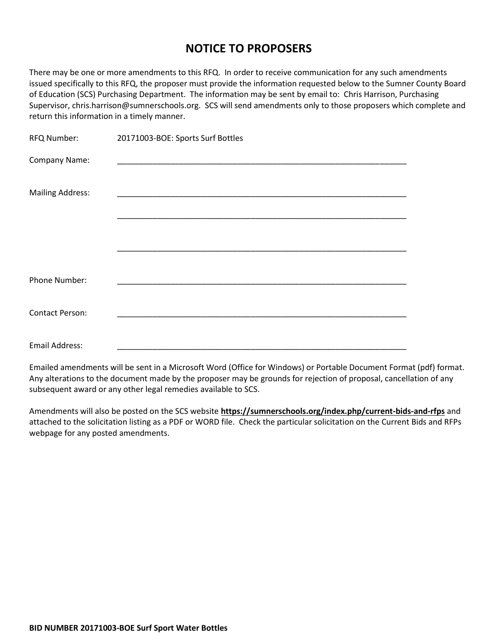# **NOTICE TO PROPOSERS**

There may be one or more amendments to this RFQ. In order to receive communication for any such amendments issued specifically to this RFQ, the proposer must provide the information requested below to the Sumner County Board of Education (SCS) Purchasing Department. The information may be sent by email to: Chris Harrison, Purchasing Supervisor, chris.harrison@sumnerschools.org. SCS will send amendments only to those proposers which complete and return this information in a timely manner.

| <b>RFQ Number:</b>      | 20171003-BOE: Sports Surf Bottles                        |
|-------------------------|----------------------------------------------------------|
| Company Name:           | <u> 1990 - Johann John Stein, mars eta biztanleria (</u> |
| <b>Mailing Address:</b> |                                                          |
|                         |                                                          |
|                         |                                                          |
| Phone Number:           |                                                          |
| Contact Person:         |                                                          |
| Email Address:          |                                                          |

Emailed amendments will be sent in a Microsoft Word (Office for Windows) or Portable Document Format (pdf) format. Any alterations to the document made by the proposer may be grounds for rejection of proposal, cancellation of any subsequent award or any other legal remedies available to SCS.

Amendments will also be posted on the SCS website **https://sumnerschools.org/index.php/current-bids-and-rfps** and attached to the solicitation listing as a PDF or WORD file. Check the particular solicitation on the Current Bids and RFPs webpage for any posted amendments.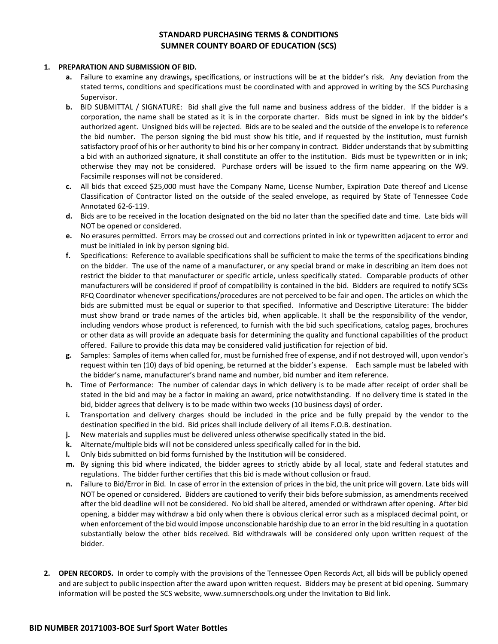## **STANDARD PURCHASING TERMS & CONDITIONS SUMNER COUNTY BOARD OF EDUCATION (SCS)**

### **1. PREPARATION AND SUBMISSION OF BID.**

- **a.** Failure to examine any drawings**,** specifications, or instructions will be at the bidder's risk. Any deviation from the stated terms, conditions and specifications must be coordinated with and approved in writing by the SCS Purchasing Supervisor.
- **b.** BID SUBMITTAL / SIGNATURE: Bid shall give the full name and business address of the bidder. If the bidder is a corporation, the name shall be stated as it is in the corporate charter. Bids must be signed in ink by the bidder's authorized agent. Unsigned bids will be rejected. Bids are to be sealed and the outside of the envelope is to reference the bid number. The person signing the bid must show his title, and if requested by the institution, must furnish satisfactory proof of his or her authority to bind his or her company in contract. Bidder understands that by submitting a bid with an authorized signature, it shall constitute an offer to the institution. Bids must be typewritten or in ink; otherwise they may not be considered. Purchase orders will be issued to the firm name appearing on the W9. Facsimile responses will not be considered.
- **c.** All bids that exceed \$25,000 must have the Company Name, License Number, Expiration Date thereof and License Classification of Contractor listed on the outside of the sealed envelope, as required by State of Tennessee Code Annotated 62-6-119.
- **d.** Bids are to be received in the location designated on the bid no later than the specified date and time. Late bids will NOT be opened or considered.
- **e.** No erasures permitted. Errors may be crossed out and corrections printed in ink or typewritten adjacent to error and must be initialed in ink by person signing bid.
- **f.** Specifications: Reference to available specifications shall be sufficient to make the terms of the specifications binding on the bidder. The use of the name of a manufacturer, or any special brand or make in describing an item does not restrict the bidder to that manufacturer or specific article, unless specifically stated. Comparable products of other manufacturers will be considered if proof of compatibility is contained in the bid. Bidders are required to notify SCSs RFQ Coordinator whenever specifications/procedures are not perceived to be fair and open. The articles on which the bids are submitted must be equal or superior to that specified. Informative and Descriptive Literature: The bidder must show brand or trade names of the articles bid, when applicable. It shall be the responsibility of the vendor, including vendors whose product is referenced, to furnish with the bid such specifications, catalog pages, brochures or other data as will provide an adequate basis for determining the quality and functional capabilities of the product offered. Failure to provide this data may be considered valid justification for rejection of bid.
- **g.** Samples: Samples of items when called for, must be furnished free of expense, and if not destroyed will, upon vendor's request within ten (10) days of bid opening, be returned at the bidder's expense. Each sample must be labeled with the bidder's name, manufacturer's brand name and number, bid number and item reference.
- **h.** Time of Performance: The number of calendar days in which delivery is to be made after receipt of order shall be stated in the bid and may be a factor in making an award, price notwithstanding. If no delivery time is stated in the bid, bidder agrees that delivery is to be made within two weeks (10 business days) of order.
- **i.** Transportation and delivery charges should be included in the price and be fully prepaid by the vendor to the destination specified in the bid. Bid prices shall include delivery of all items F.O.B. destination.
- **j.** New materials and supplies must be delivered unless otherwise specifically stated in the bid.
- **k.** Alternate/multiple bids will not be considered unless specifically called for in the bid.
- **l.** Only bids submitted on bid forms furnished by the Institution will be considered.
- **m.** By signing this bid where indicated, the bidder agrees to strictly abide by all local, state and federal statutes and regulations. The bidder further certifies that this bid is made without collusion or fraud.
- **n.** Failure to Bid/Error in Bid. In case of error in the extension of prices in the bid, the unit price will govern. Late bids will NOT be opened or considered. Bidders are cautioned to verify their bids before submission, as amendments received after the bid deadline will not be considered. No bid shall be altered, amended or withdrawn after opening. After bid opening, a bidder may withdraw a bid only when there is obvious clerical error such as a misplaced decimal point, or when enforcement of the bid would impose unconscionable hardship due to an error in the bid resulting in a quotation substantially below the other bids received. Bid withdrawals will be considered only upon written request of the bidder.
- **2. OPEN RECORDS.** In order to comply with the provisions of the Tennessee Open Records Act, all bids will be publicly opened and are subject to public inspection after the award upon written request. Bidders may be present at bid opening. Summary information will be posted the SCS website, www.sumnerschools.org under the Invitation to Bid link.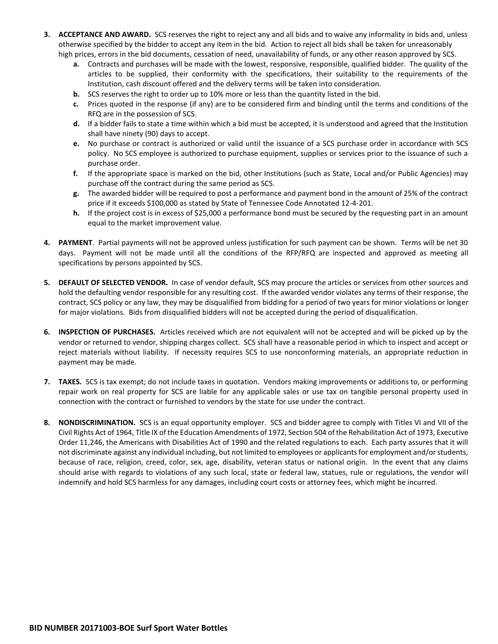- **3. ACCEPTANCE AND AWARD.** SCS reserves the right to reject any and all bids and to waive any informality in bids and, unless otherwise specified by the bidder to accept any item in the bid. Action to reject all bids shall be taken for unreasonably high prices, errors in the bid documents, cessation of need, unavailability of funds, or any other reason approved by SCS.
	- **a.** Contracts and purchases will be made with the lowest, responsive, responsible, qualified bidder. The quality of the articles to be supplied, their conformity with the specifications, their suitability to the requirements of the Institution, cash discount offered and the delivery terms will be taken into consideration.
	- **b.** SCS reserves the right to order up to 10% more or less than the quantity listed in the bid.
	- **c.** Prices quoted in the response (if any) are to be considered firm and binding until the terms and conditions of the RFQ are in the possession of SCS.
	- **d.** If a bidder fails to state a time within which a bid must be accepted, it is understood and agreed that the Institution shall have ninety (90) days to accept.
	- **e.** No purchase or contract is authorized or valid until the issuance of a SCS purchase order in accordance with SCS policy. No SCS employee is authorized to purchase equipment, supplies or services prior to the issuance of such a purchase order.
	- **f.** If the appropriate space is marked on the bid, other Institutions (such as State, Local and/or Public Agencies) may purchase off the contract during the same period as SCS.
	- **g.** The awarded bidder will be required to post a performance and payment bond in the amount of 25% of the contract price if it exceeds \$100,000 as stated by State of Tennessee Code Annotated 12-4-201.
	- **h.** If the project cost is in excess of \$25,000 a performance bond must be secured by the requesting part in an amount equal to the market improvement value.
- **4. PAYMENT**. Partial payments will not be approved unless justification for such payment can be shown. Terms will be net 30 days. Payment will not be made until all the conditions of the RFP/RFQ are inspected and approved as meeting all specifications by persons appointed by SCS.
- **5. DEFAULT OF SELECTED VENDOR.** In case of vendor default, SCS may procure the articles or services from other sources and hold the defaulting vendor responsible for any resulting cost. If the awarded vendor violates any terms of their response, the contract, SCS policy or any law, they may be disqualified from bidding for a period of two years for minor violations or longer for major violations. Bids from disqualified bidders will not be accepted during the period of disqualification.
- **6. INSPECTION OF PURCHASES.** Articles received which are not equivalent will not be accepted and will be picked up by the vendor or returned to vendor, shipping charges collect. SCS shall have a reasonable period in which to inspect and accept or reject materials without liability. If necessity requires SCS to use nonconforming materials, an appropriate reduction in payment may be made.
- **7. TAXES.** SCS is tax exempt; do not include taxes in quotation. Vendors making improvements or additions to, or performing repair work on real property for SCS are liable for any applicable sales or use tax on tangible personal property used in connection with the contract or furnished to vendors by the state for use under the contract.
- **8. NONDISCRIMINATION.** SCS is an equal opportunity employer. SCS and bidder agree to comply with Titles VI and VII of the Civil Rights Act of 1964, Title IX of the Education Amendments of 1972, Section 504 of the Rehabilitation Act of 1973, Executive Order 11,246, the Americans with Disabilities Act of 1990 and the related regulations to each. Each party assures that it will not discriminate against any individual including, but not limited to employees or applicants for employment and/or students, because of race, religion, creed, color, sex, age, disability, veteran status or national origin. In the event that any claims should arise with regards to violations of any such local, state or federal law, statues, rule or regulations, the vendor will indemnify and hold SCS harmless for any damages, including court costs or attorney fees, which might be incurred.